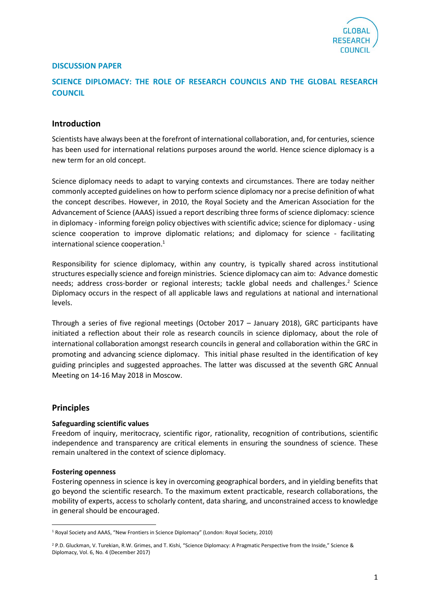

## **DISCUSSION PAPER**

## **SCIENCE DIPLOMACY: THE ROLE OF RESEARCH COUNCILS AND THE GLOBAL RESEARCH COUNCIL**

### **Introduction**

Scientists have always been at the forefront of international collaboration, and, for centuries, science has been used for international relations purposes around the world. Hence science diplomacy is a new term for an old concept.

Science diplomacy needs to adapt to varying contexts and circumstances. There are today neither commonly accepted guidelines on how to perform science diplomacy nor a precise definition of what the concept describes. However, in 2010, the Royal Society and the American Association for the Advancement of Science (AAAS) issued a report describing three forms of science diplomacy: science in diplomacy - informing foreign policy objectives with scientific advice; science for diplomacy - using science cooperation to improve diplomatic relations; and diplomacy for science - facilitating international science cooperation. 1

Responsibility for science diplomacy, within any country, is typically shared across institutional structures especially science and foreign ministries. Science diplomacy can aim to: Advance domestic needs; address cross-border or regional interests; tackle global needs and challenges.<sup>2</sup> Science Diplomacy occurs in the respect of all applicable laws and regulations at national and international levels.

Through a series of five regional meetings (October 2017 – January 2018), GRC participants have initiated a reflection about their role as research councils in science diplomacy, about the role of international collaboration amongst research councils in general and collaboration within the GRC in promoting and advancing science diplomacy. This initial phase resulted in the identification of key guiding principles and suggested approaches. The latter was discussed at the seventh GRC Annual Meeting on 14-16 May 2018 in Moscow.

#### **Principles**

 $\overline{a}$ 

#### **Safeguarding scientific values**

Freedom of inquiry, meritocracy, scientific rigor, rationality, recognition of contributions, scientific independence and transparency are critical elements in ensuring the soundness of science. These remain unaltered in the context of science diplomacy.

#### **Fostering openness**

Fostering openness in science is key in overcoming geographical borders, and in yielding benefits that go beyond the scientific research. To the maximum extent practicable, research collaborations, the mobility of experts, access to scholarly content, data sharing, and unconstrained access to knowledge in general should be encouraged.

<sup>1</sup> Royal Society and AAAS, "New Frontiers in Science Diplomacy" (London: Royal Society, 2010)

<sup>&</sup>lt;sup>2</sup> P.D. Gluckman, V. Turekian, R.W. Grimes, and T. Kishi, "Science Diplomacy: A Pragmatic Perspective from the Inside," Science & Diplomacy, Vol. 6, No. 4 (December 2017)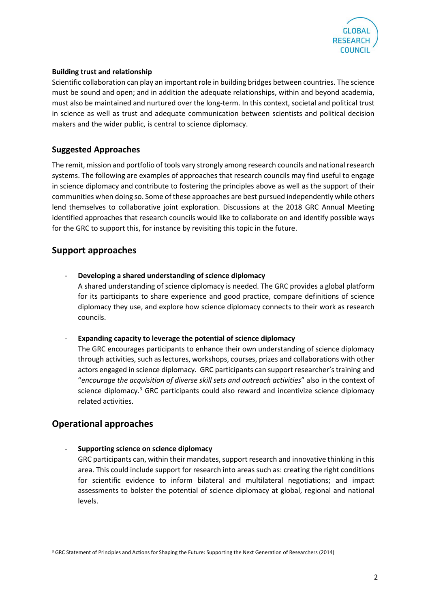

### **Building trust and relationship**

Scientific collaboration can play an important role in building bridges between countries. The science must be sound and open; and in addition the adequate relationships, within and beyond academia, must also be maintained and nurtured over the long-term. In this context, societal and political trust in science as well as trust and adequate communication between scientists and political decision makers and the wider public, is central to science diplomacy.

## **Suggested Approaches**

The remit, mission and portfolio of tools vary strongly among research councils and national research systems. The following are examples of approaches that research councils may find useful to engage in science diplomacy and contribute to fostering the principles above as well as the support of their communities when doing so. Some of these approaches are best pursued independently while others lend themselves to collaborative joint exploration. Discussions at the 2018 GRC Annual Meeting identified approaches that research councils would like to collaborate on and identify possible ways for the GRC to support this, for instance by revisiting this topic in the future.

## **Support approaches**

- **Developing a shared understanding of science diplomacy** A shared understanding of science diplomacy is needed. The GRC provides a global platform for its participants to share experience and good practice, compare definitions of science diplomacy they use, and explore how science diplomacy connects to their work as research councils.

- **Expanding capacity to leverage the potential of science diplomacy**

The GRC encourages participants to enhance their own understanding of science diplomacy through activities, such as lectures, workshops, courses, prizes and collaborations with other actors engaged in science diplomacy. GRC participants can support researcher's training and "*encourage the acquisition of diverse skill sets and outreach activities*" also in the context of science diplomacy.<sup>3</sup> GRC participants could also reward and incentivize science diplomacy related activities.

# **Operational approaches**

 $\overline{a}$ 

- **Supporting science on science diplomacy**

GRC participants can, within their mandates, support research and innovative thinking in this area. This could include support for research into areas such as: creating the right conditions for scientific evidence to inform bilateral and multilateral negotiations; and impact assessments to bolster the potential of science diplomacy at global, regional and national levels.

<sup>&</sup>lt;sup>3</sup> GRC Statement of Principles and Actions for Shaping the Future: Supporting the Next Generation of Researchers (2014)